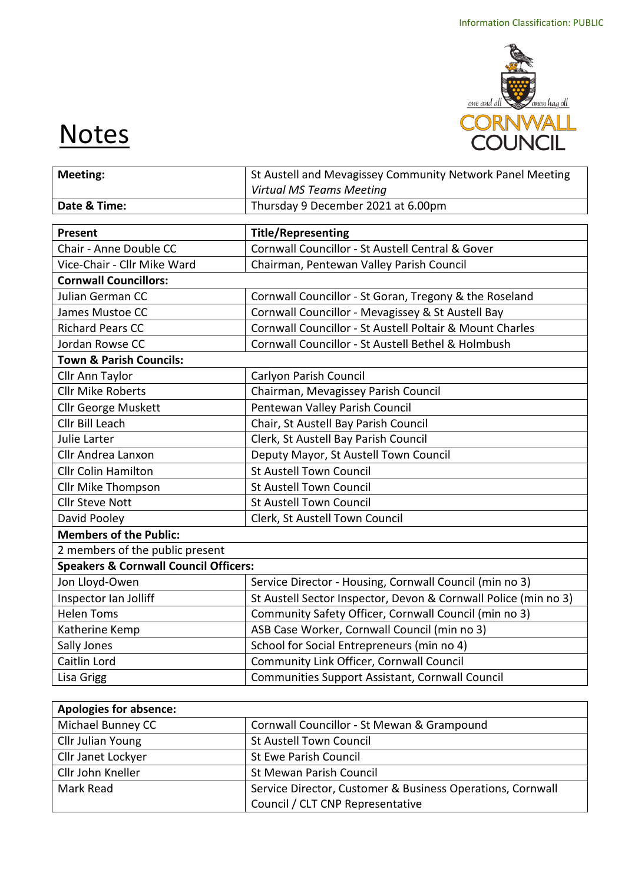

## **Notes**

| <b>Meeting:</b>                                                      | St Austell and Mevagissey Community Network Panel Meeting       |  |  |
|----------------------------------------------------------------------|-----------------------------------------------------------------|--|--|
|                                                                      | <b>Virtual MS Teams Meeting</b>                                 |  |  |
| Date & Time:                                                         | Thursday 9 December 2021 at 6.00pm                              |  |  |
| Present                                                              | <b>Title/Representing</b>                                       |  |  |
| Chair - Anne Double CC                                               | Cornwall Councillor - St Austell Central & Gover                |  |  |
| Vice-Chair - Cllr Mike Ward                                          | Chairman, Pentewan Valley Parish Council                        |  |  |
| <b>Cornwall Councillors:</b>                                         |                                                                 |  |  |
| Julian German CC                                                     | Cornwall Councillor - St Goran, Tregony & the Roseland          |  |  |
| James Mustoe CC                                                      | Cornwall Councillor - Mevagissey & St Austell Bay               |  |  |
| <b>Richard Pears CC</b>                                              | Cornwall Councillor - St Austell Poltair & Mount Charles        |  |  |
| Jordan Rowse CC                                                      | Cornwall Councillor - St Austell Bethel & Holmbush              |  |  |
| <b>Town &amp; Parish Councils:</b>                                   |                                                                 |  |  |
| Cllr Ann Taylor                                                      | Carlyon Parish Council                                          |  |  |
| <b>Cllr Mike Roberts</b>                                             | Chairman, Mevagissey Parish Council                             |  |  |
| Cllr George Muskett                                                  | Pentewan Valley Parish Council                                  |  |  |
| Cllr Bill Leach                                                      | Chair, St Austell Bay Parish Council                            |  |  |
| Julie Larter                                                         | Clerk, St Austell Bay Parish Council                            |  |  |
| Cllr Andrea Lanxon                                                   | Deputy Mayor, St Austell Town Council                           |  |  |
| <b>Cllr Colin Hamilton</b>                                           | <b>St Austell Town Council</b>                                  |  |  |
| Cllr Mike Thompson                                                   | <b>St Austell Town Council</b>                                  |  |  |
| <b>Cllr Steve Nott</b>                                               | <b>St Austell Town Council</b>                                  |  |  |
| David Pooley                                                         | Clerk, St Austell Town Council                                  |  |  |
| <b>Members of the Public:</b>                                        |                                                                 |  |  |
| 2 members of the public present                                      |                                                                 |  |  |
| <b>Speakers &amp; Cornwall Council Officers:</b>                     |                                                                 |  |  |
| Jon Lloyd-Owen                                                       | Service Director - Housing, Cornwall Council (min no 3)         |  |  |
| Inspector Ian Jolliff                                                | St Austell Sector Inspector, Devon & Cornwall Police (min no 3) |  |  |
| <b>Helen Toms</b>                                                    | Community Safety Officer, Cornwall Council (min no 3)           |  |  |
| Katherine Kemp                                                       | ASB Case Worker, Cornwall Council (min no 3)                    |  |  |
| Sally Jones                                                          | School for Social Entrepreneurs (min no 4)                      |  |  |
| Caitlin Lord                                                         | Community Link Officer, Cornwall Council                        |  |  |
| <b>Lisa Grigg</b><br>Communities Support Assistant, Cornwall Council |                                                                 |  |  |

| <b>Apologies for absence:</b>                                           |                                  |  |
|-------------------------------------------------------------------------|----------------------------------|--|
| Michael Bunney CC<br>Cornwall Councillor - St Mewan & Grampound         |                                  |  |
| Cllr Julian Young                                                       | <b>St Austell Town Council</b>   |  |
| Cllr Janet Lockyer<br>St Ewe Parish Council                             |                                  |  |
| Cllr John Kneller<br>St Mewan Parish Council                            |                                  |  |
| Mark Read<br>Service Director, Customer & Business Operations, Cornwall |                                  |  |
|                                                                         | Council / CLT CNP Representative |  |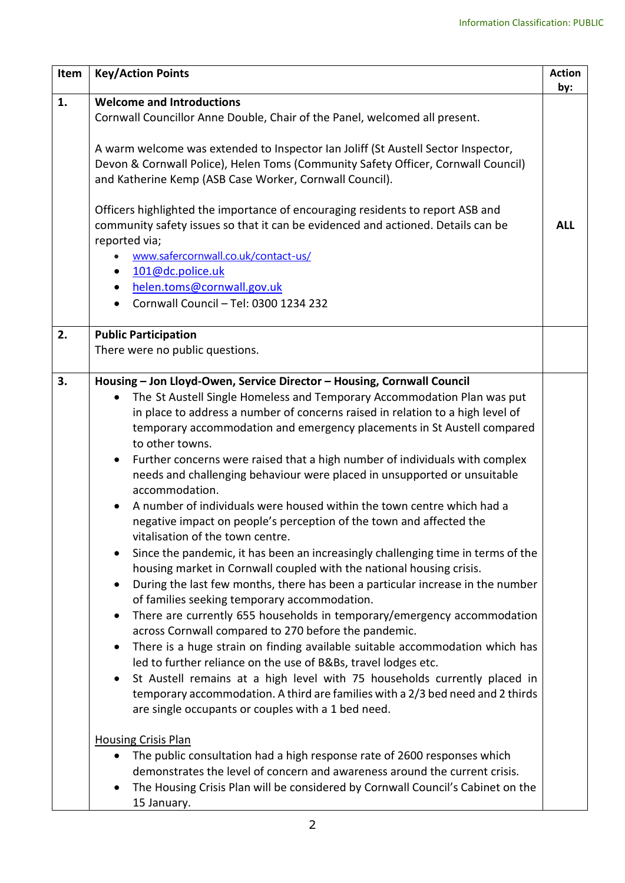| Item | <b>Key/Action Points</b>                                                                                                                                                                                                                                                                                                                                                                                                                                                                                                                                                                                                                                                                                                                                                                                                                                                                                                                                                                                                                                                                                                                                                                                                                                                                                            | <b>Action</b><br>by: |
|------|---------------------------------------------------------------------------------------------------------------------------------------------------------------------------------------------------------------------------------------------------------------------------------------------------------------------------------------------------------------------------------------------------------------------------------------------------------------------------------------------------------------------------------------------------------------------------------------------------------------------------------------------------------------------------------------------------------------------------------------------------------------------------------------------------------------------------------------------------------------------------------------------------------------------------------------------------------------------------------------------------------------------------------------------------------------------------------------------------------------------------------------------------------------------------------------------------------------------------------------------------------------------------------------------------------------------|----------------------|
| 1.   | <b>Welcome and Introductions</b><br>Cornwall Councillor Anne Double, Chair of the Panel, welcomed all present.                                                                                                                                                                                                                                                                                                                                                                                                                                                                                                                                                                                                                                                                                                                                                                                                                                                                                                                                                                                                                                                                                                                                                                                                      |                      |
|      | A warm welcome was extended to Inspector Ian Joliff (St Austell Sector Inspector,<br>Devon & Cornwall Police), Helen Toms (Community Safety Officer, Cornwall Council)<br>and Katherine Kemp (ASB Case Worker, Cornwall Council).                                                                                                                                                                                                                                                                                                                                                                                                                                                                                                                                                                                                                                                                                                                                                                                                                                                                                                                                                                                                                                                                                   |                      |
|      | Officers highlighted the importance of encouraging residents to report ASB and<br>community safety issues so that it can be evidenced and actioned. Details can be<br>reported via;<br>www.safercornwall.co.uk/contact-us/                                                                                                                                                                                                                                                                                                                                                                                                                                                                                                                                                                                                                                                                                                                                                                                                                                                                                                                                                                                                                                                                                          | <b>ALL</b>           |
|      | 101@dc.police.uk                                                                                                                                                                                                                                                                                                                                                                                                                                                                                                                                                                                                                                                                                                                                                                                                                                                                                                                                                                                                                                                                                                                                                                                                                                                                                                    |                      |
|      | helen.toms@cornwall.gov.uk                                                                                                                                                                                                                                                                                                                                                                                                                                                                                                                                                                                                                                                                                                                                                                                                                                                                                                                                                                                                                                                                                                                                                                                                                                                                                          |                      |
|      | Cornwall Council - Tel: 0300 1234 232                                                                                                                                                                                                                                                                                                                                                                                                                                                                                                                                                                                                                                                                                                                                                                                                                                                                                                                                                                                                                                                                                                                                                                                                                                                                               |                      |
| 2.   | <b>Public Participation</b><br>There were no public questions.                                                                                                                                                                                                                                                                                                                                                                                                                                                                                                                                                                                                                                                                                                                                                                                                                                                                                                                                                                                                                                                                                                                                                                                                                                                      |                      |
| 3.   | Housing - Jon Lloyd-Owen, Service Director - Housing, Cornwall Council                                                                                                                                                                                                                                                                                                                                                                                                                                                                                                                                                                                                                                                                                                                                                                                                                                                                                                                                                                                                                                                                                                                                                                                                                                              |                      |
|      | The St Austell Single Homeless and Temporary Accommodation Plan was put<br>in place to address a number of concerns raised in relation to a high level of<br>temporary accommodation and emergency placements in St Austell compared<br>to other towns.<br>Further concerns were raised that a high number of individuals with complex<br>$\bullet$<br>needs and challenging behaviour were placed in unsupported or unsuitable<br>accommodation.<br>A number of individuals were housed within the town centre which had a<br>negative impact on people's perception of the town and affected the<br>vitalisation of the town centre.<br>Since the pandemic, it has been an increasingly challenging time in terms of the<br>housing market in Cornwall coupled with the national housing crisis.<br>During the last few months, there has been a particular increase in the number<br>$\bullet$<br>of families seeking temporary accommodation.<br>There are currently 655 households in temporary/emergency accommodation<br>across Cornwall compared to 270 before the pandemic.<br>There is a huge strain on finding available suitable accommodation which has<br>led to further reliance on the use of B&Bs, travel lodges etc.<br>St Austell remains at a high level with 75 households currently placed in |                      |
|      | temporary accommodation. A third are families with a 2/3 bed need and 2 thirds<br>are single occupants or couples with a 1 bed need.                                                                                                                                                                                                                                                                                                                                                                                                                                                                                                                                                                                                                                                                                                                                                                                                                                                                                                                                                                                                                                                                                                                                                                                |                      |
|      | <b>Housing Crisis Plan</b><br>The public consultation had a high response rate of 2600 responses which<br>demonstrates the level of concern and awareness around the current crisis.                                                                                                                                                                                                                                                                                                                                                                                                                                                                                                                                                                                                                                                                                                                                                                                                                                                                                                                                                                                                                                                                                                                                |                      |
|      | The Housing Crisis Plan will be considered by Cornwall Council's Cabinet on the<br>15 January.                                                                                                                                                                                                                                                                                                                                                                                                                                                                                                                                                                                                                                                                                                                                                                                                                                                                                                                                                                                                                                                                                                                                                                                                                      |                      |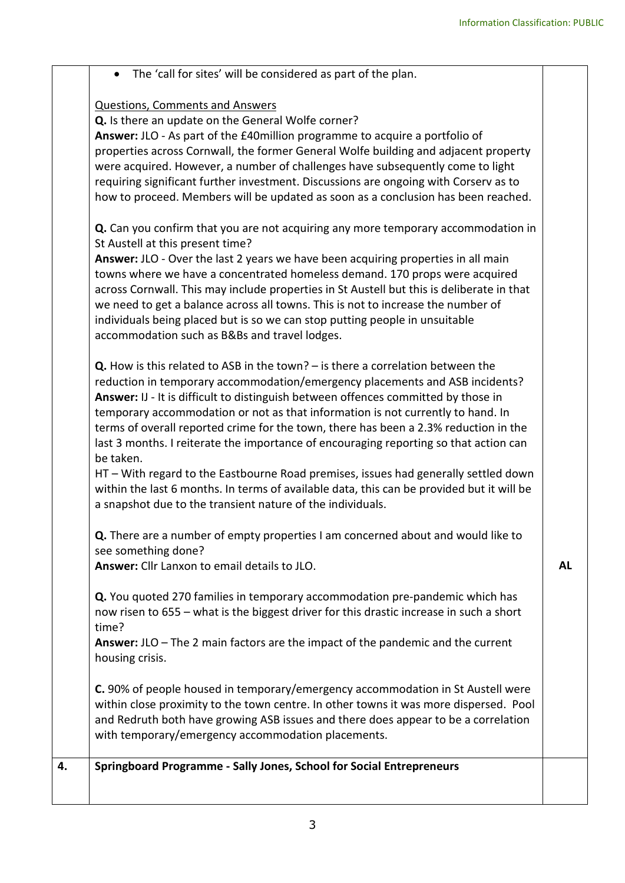|    | • The 'call for sites' will be considered as part of the plan.                                                                                                                                                                                                                                                                                                                                                                                                                                                                                                                                                                                                                                                                                                                                    |           |
|----|---------------------------------------------------------------------------------------------------------------------------------------------------------------------------------------------------------------------------------------------------------------------------------------------------------------------------------------------------------------------------------------------------------------------------------------------------------------------------------------------------------------------------------------------------------------------------------------------------------------------------------------------------------------------------------------------------------------------------------------------------------------------------------------------------|-----------|
|    | <b>Questions, Comments and Answers</b><br>Q. Is there an update on the General Wolfe corner?<br>Answer: JLO - As part of the £40 million programme to acquire a portfolio of<br>properties across Cornwall, the former General Wolfe building and adjacent property<br>were acquired. However, a number of challenges have subsequently come to light<br>requiring significant further investment. Discussions are ongoing with Corserv as to<br>how to proceed. Members will be updated as soon as a conclusion has been reached.                                                                                                                                                                                                                                                                |           |
|    | Q. Can you confirm that you are not acquiring any more temporary accommodation in<br>St Austell at this present time?<br>Answer: JLO - Over the last 2 years we have been acquiring properties in all main<br>towns where we have a concentrated homeless demand. 170 props were acquired<br>across Cornwall. This may include properties in St Austell but this is deliberate in that<br>we need to get a balance across all towns. This is not to increase the number of<br>individuals being placed but is so we can stop putting people in unsuitable<br>accommodation such as B&Bs and travel lodges.                                                                                                                                                                                        |           |
|    | <b>Q.</b> How is this related to ASB in the town? $-$ is there a correlation between the<br>reduction in temporary accommodation/emergency placements and ASB incidents?<br>Answer: IJ - It is difficult to distinguish between offences committed by those in<br>temporary accommodation or not as that information is not currently to hand. In<br>terms of overall reported crime for the town, there has been a 2.3% reduction in the<br>last 3 months. I reiterate the importance of encouraging reporting so that action can<br>be taken.<br>HT - With regard to the Eastbourne Road premises, issues had generally settled down<br>within the last 6 months. In terms of available data, this can be provided but it will be<br>a snapshot due to the transient nature of the individuals. |           |
|    | Q. There are a number of empty properties I am concerned about and would like to<br>see something done?<br>Answer: Cllr Lanxon to email details to JLO.                                                                                                                                                                                                                                                                                                                                                                                                                                                                                                                                                                                                                                           | <b>AL</b> |
|    | <b>Q.</b> You quoted 270 families in temporary accommodation pre-pandemic which has<br>now risen to 655 - what is the biggest driver for this drastic increase in such a short<br>time?<br>Answer: $JLO$ – The 2 main factors are the impact of the pandemic and the current<br>housing crisis.                                                                                                                                                                                                                                                                                                                                                                                                                                                                                                   |           |
|    | C. 90% of people housed in temporary/emergency accommodation in St Austell were<br>within close proximity to the town centre. In other towns it was more dispersed. Pool<br>and Redruth both have growing ASB issues and there does appear to be a correlation<br>with temporary/emergency accommodation placements.                                                                                                                                                                                                                                                                                                                                                                                                                                                                              |           |
| 4. | Springboard Programme - Sally Jones, School for Social Entrepreneurs                                                                                                                                                                                                                                                                                                                                                                                                                                                                                                                                                                                                                                                                                                                              |           |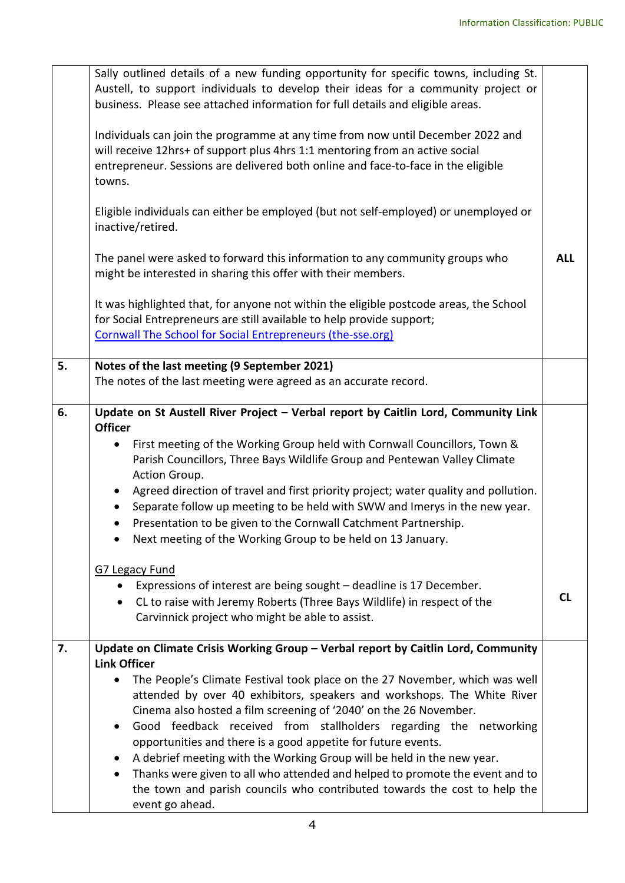|    | Sally outlined details of a new funding opportunity for specific towns, including St.<br>Austell, to support individuals to develop their ideas for a community project or<br>business. Please see attached information for full details and eligible areas.<br>Individuals can join the programme at any time from now until December 2022 and<br>will receive 12hrs+ of support plus 4hrs 1:1 mentoring from an active social<br>entrepreneur. Sessions are delivered both online and face-to-face in the eligible<br>towns.                                                                                                                                                                                                                                                                                                                              |            |
|----|-------------------------------------------------------------------------------------------------------------------------------------------------------------------------------------------------------------------------------------------------------------------------------------------------------------------------------------------------------------------------------------------------------------------------------------------------------------------------------------------------------------------------------------------------------------------------------------------------------------------------------------------------------------------------------------------------------------------------------------------------------------------------------------------------------------------------------------------------------------|------------|
|    | Eligible individuals can either be employed (but not self-employed) or unemployed or<br>inactive/retired.                                                                                                                                                                                                                                                                                                                                                                                                                                                                                                                                                                                                                                                                                                                                                   |            |
|    | The panel were asked to forward this information to any community groups who<br>might be interested in sharing this offer with their members.                                                                                                                                                                                                                                                                                                                                                                                                                                                                                                                                                                                                                                                                                                               | <b>ALL</b> |
|    | It was highlighted that, for anyone not within the eligible postcode areas, the School<br>for Social Entrepreneurs are still available to help provide support;<br><b>Cornwall The School for Social Entrepreneurs (the-sse.org)</b>                                                                                                                                                                                                                                                                                                                                                                                                                                                                                                                                                                                                                        |            |
| 5. | Notes of the last meeting (9 September 2021)<br>The notes of the last meeting were agreed as an accurate record.                                                                                                                                                                                                                                                                                                                                                                                                                                                                                                                                                                                                                                                                                                                                            |            |
| 6. | Update on St Austell River Project - Verbal report by Caitlin Lord, Community Link<br><b>Officer</b><br>First meeting of the Working Group held with Cornwall Councillors, Town &<br>Parish Councillors, Three Bays Wildlife Group and Pentewan Valley Climate<br>Action Group.<br>Agreed direction of travel and first priority project; water quality and pollution.<br>Separate follow up meeting to be held with SWW and Imerys in the new year.<br>Presentation to be given to the Cornwall Catchment Partnership.<br>$\bullet$<br>Next meeting of the Working Group to be held on 13 January.<br><b>G7 Legacy Fund</b><br>Expressions of interest are being sought - deadline is 17 December.<br>$\bullet$<br>CL to raise with Jeremy Roberts (Three Bays Wildlife) in respect of the<br>$\bullet$<br>Carvinnick project who might be able to assist. | <b>CL</b>  |
| 7. | Update on Climate Crisis Working Group - Verbal report by Caitlin Lord, Community<br><b>Link Officer</b><br>The People's Climate Festival took place on the 27 November, which was well<br>attended by over 40 exhibitors, speakers and workshops. The White River<br>Cinema also hosted a film screening of '2040' on the 26 November.<br>Good feedback received from stallholders regarding the networking<br>opportunities and there is a good appetite for future events.<br>A debrief meeting with the Working Group will be held in the new year.<br>Thanks were given to all who attended and helped to promote the event and to<br>the town and parish councils who contributed towards the cost to help the<br>event go ahead.                                                                                                                     |            |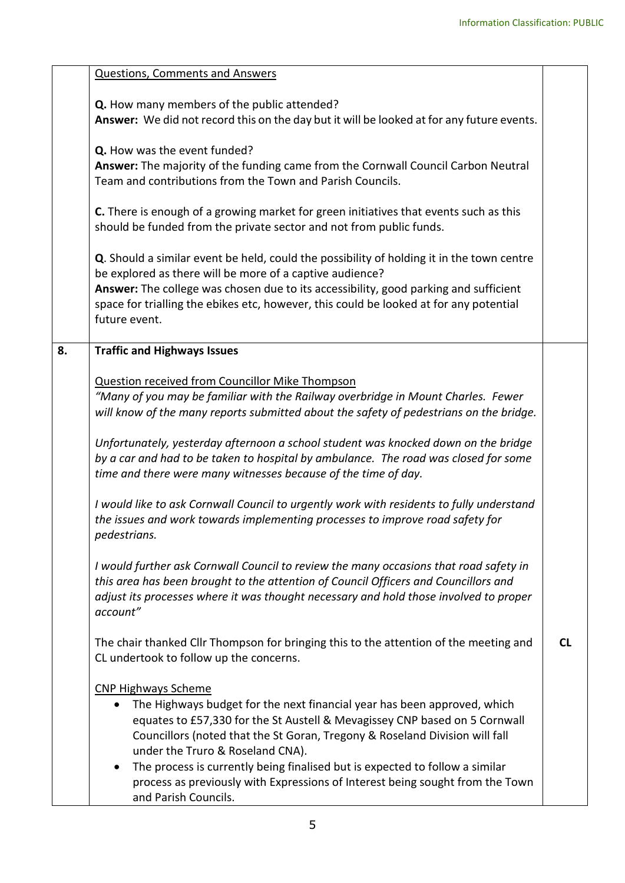|    | <b>Questions, Comments and Answers</b>                                                                                                                                                                                                                                                                                                                                                                                                                                                           |           |
|----|--------------------------------------------------------------------------------------------------------------------------------------------------------------------------------------------------------------------------------------------------------------------------------------------------------------------------------------------------------------------------------------------------------------------------------------------------------------------------------------------------|-----------|
|    | Q. How many members of the public attended?<br>Answer: We did not record this on the day but it will be looked at for any future events.                                                                                                                                                                                                                                                                                                                                                         |           |
|    | Q. How was the event funded?<br>Answer: The majority of the funding came from the Cornwall Council Carbon Neutral<br>Team and contributions from the Town and Parish Councils.                                                                                                                                                                                                                                                                                                                   |           |
|    | C. There is enough of a growing market for green initiatives that events such as this<br>should be funded from the private sector and not from public funds.                                                                                                                                                                                                                                                                                                                                     |           |
|    | Q. Should a similar event be held, could the possibility of holding it in the town centre<br>be explored as there will be more of a captive audience?<br>Answer: The college was chosen due to its accessibility, good parking and sufficient<br>space for trialling the ebikes etc, however, this could be looked at for any potential<br>future event.                                                                                                                                         |           |
| 8. | <b>Traffic and Highways Issues</b>                                                                                                                                                                                                                                                                                                                                                                                                                                                               |           |
|    | <b>Question received from Councillor Mike Thompson</b><br>"Many of you may be familiar with the Railway overbridge in Mount Charles. Fewer<br>will know of the many reports submitted about the safety of pedestrians on the bridge.<br>Unfortunately, yesterday afternoon a school student was knocked down on the bridge<br>by a car and had to be taken to hospital by ambulance. The road was closed for some<br>time and there were many witnesses because of the time of day.              |           |
|    | I would like to ask Cornwall Council to urgently work with residents to fully understand<br>the issues and work towards implementing processes to improve road safety for<br>pedestrians.                                                                                                                                                                                                                                                                                                        |           |
|    | I would further ask Cornwall Council to review the many occasions that road safety in<br>this area has been brought to the attention of Council Officers and Councillors and<br>adjust its processes where it was thought necessary and hold those involved to proper<br>account"                                                                                                                                                                                                                |           |
|    | The chair thanked Cllr Thompson for bringing this to the attention of the meeting and<br>CL undertook to follow up the concerns.                                                                                                                                                                                                                                                                                                                                                                 | <b>CL</b> |
|    | <b>CNP Highways Scheme</b><br>The Highways budget for the next financial year has been approved, which<br>equates to £57,330 for the St Austell & Mevagissey CNP based on 5 Cornwall<br>Councillors (noted that the St Goran, Tregony & Roseland Division will fall<br>under the Truro & Roseland CNA).<br>The process is currently being finalised but is expected to follow a similar<br>process as previously with Expressions of Interest being sought from the Town<br>and Parish Councils. |           |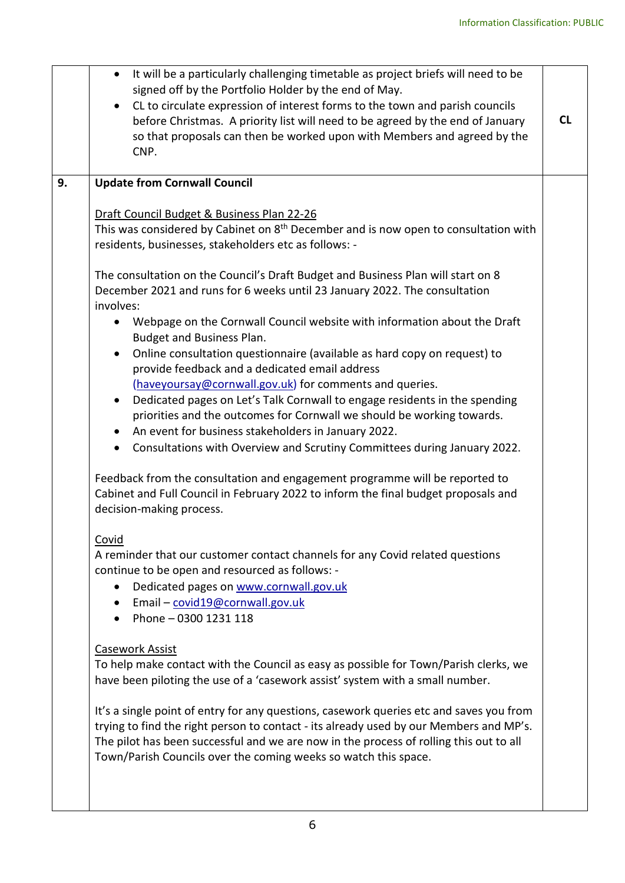|    | It will be a particularly challenging timetable as project briefs will need to be<br>signed off by the Portfolio Holder by the end of May.<br>• CL to circulate expression of interest forms to the town and parish councils<br>before Christmas. A priority list will need to be agreed by the end of January<br>so that proposals can then be worked upon with Members and agreed by the<br>CNP. | <b>CL</b> |
|----|----------------------------------------------------------------------------------------------------------------------------------------------------------------------------------------------------------------------------------------------------------------------------------------------------------------------------------------------------------------------------------------------------|-----------|
| 9. | <b>Update from Cornwall Council</b>                                                                                                                                                                                                                                                                                                                                                                |           |
|    | Draft Council Budget & Business Plan 22-26<br>This was considered by Cabinet on 8 <sup>th</sup> December and is now open to consultation with<br>residents, businesses, stakeholders etc as follows: -                                                                                                                                                                                             |           |
|    | The consultation on the Council's Draft Budget and Business Plan will start on 8<br>December 2021 and runs for 6 weeks until 23 January 2022. The consultation<br>involves:                                                                                                                                                                                                                        |           |
|    | Webpage on the Cornwall Council website with information about the Draft<br>$\bullet$<br>Budget and Business Plan.                                                                                                                                                                                                                                                                                 |           |
|    | Online consultation questionnaire (available as hard copy on request) to<br>$\bullet$<br>provide feedback and a dedicated email address<br>(haveyoursay@cornwall.gov.uk) for comments and queries.                                                                                                                                                                                                 |           |
|    | Dedicated pages on Let's Talk Cornwall to engage residents in the spending<br>$\bullet$<br>priorities and the outcomes for Cornwall we should be working towards.<br>• An event for business stakeholders in January 2022.                                                                                                                                                                         |           |
|    | Consultations with Overview and Scrutiny Committees during January 2022.<br>$\bullet$                                                                                                                                                                                                                                                                                                              |           |
|    | Feedback from the consultation and engagement programme will be reported to<br>Cabinet and Full Council in February 2022 to inform the final budget proposals and<br>decision-making process.                                                                                                                                                                                                      |           |
|    | Covid<br>A reminder that our customer contact channels for any Covid related questions<br>continue to be open and resourced as follows: -<br>Dedicated pages on www.cornwall.gov.uk<br>$\bullet$<br>Email - covid19@cornwall.gov.uk<br>Phone - 0300 1231 118                                                                                                                                       |           |
|    | Casework Assist<br>To help make contact with the Council as easy as possible for Town/Parish clerks, we<br>have been piloting the use of a 'casework assist' system with a small number.                                                                                                                                                                                                           |           |
|    | It's a single point of entry for any questions, casework queries etc and saves you from<br>trying to find the right person to contact - its already used by our Members and MP's.<br>The pilot has been successful and we are now in the process of rolling this out to all<br>Town/Parish Councils over the coming weeks so watch this space.                                                     |           |
|    |                                                                                                                                                                                                                                                                                                                                                                                                    |           |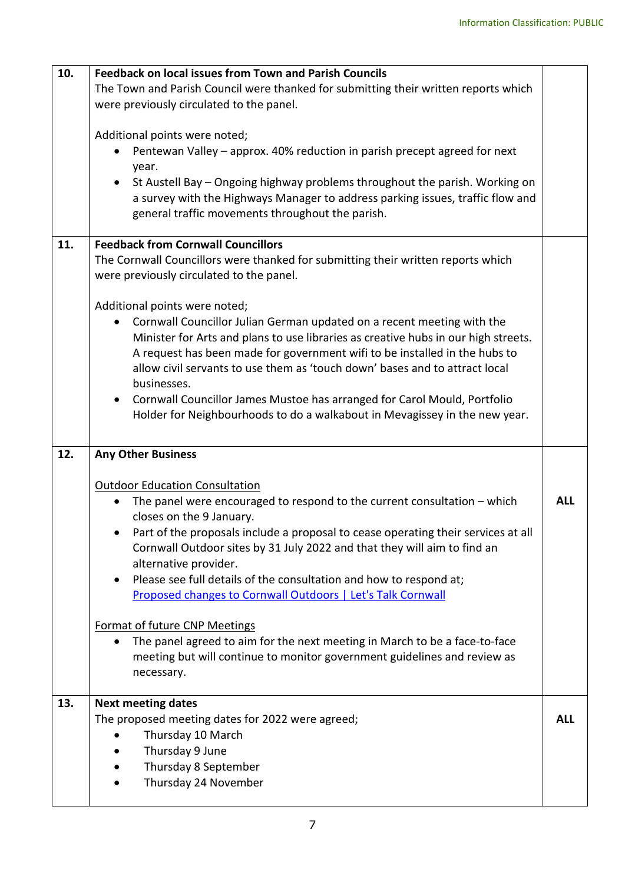| 10. | <b>Feedback on local issues from Town and Parish Councils</b>                                                                                                                                                     |            |
|-----|-------------------------------------------------------------------------------------------------------------------------------------------------------------------------------------------------------------------|------------|
|     | The Town and Parish Council were thanked for submitting their written reports which                                                                                                                               |            |
|     | were previously circulated to the panel.                                                                                                                                                                          |            |
|     |                                                                                                                                                                                                                   |            |
|     | Additional points were noted;                                                                                                                                                                                     |            |
|     | Pentewan Valley - approx. 40% reduction in parish precept agreed for next                                                                                                                                         |            |
|     | year.                                                                                                                                                                                                             |            |
|     | St Austell Bay - Ongoing highway problems throughout the parish. Working on<br>a survey with the Highways Manager to address parking issues, traffic flow and<br>general traffic movements throughout the parish. |            |
| 11. | <b>Feedback from Cornwall Councillors</b>                                                                                                                                                                         |            |
|     | The Cornwall Councillors were thanked for submitting their written reports which                                                                                                                                  |            |
|     | were previously circulated to the panel.                                                                                                                                                                          |            |
|     |                                                                                                                                                                                                                   |            |
|     | Additional points were noted;                                                                                                                                                                                     |            |
|     | Cornwall Councillor Julian German updated on a recent meeting with the                                                                                                                                            |            |
|     | Minister for Arts and plans to use libraries as creative hubs in our high streets.                                                                                                                                |            |
|     | A request has been made for government wifi to be installed in the hubs to                                                                                                                                        |            |
|     | allow civil servants to use them as 'touch down' bases and to attract local                                                                                                                                       |            |
|     | businesses.                                                                                                                                                                                                       |            |
|     | Cornwall Councillor James Mustoe has arranged for Carol Mould, Portfolio<br>$\bullet$                                                                                                                             |            |
|     | Holder for Neighbourhoods to do a walkabout in Mevagissey in the new year.                                                                                                                                        |            |
|     |                                                                                                                                                                                                                   |            |
| 12. | <b>Any Other Business</b>                                                                                                                                                                                         |            |
|     | <b>Outdoor Education Consultation</b>                                                                                                                                                                             |            |
|     | The panel were encouraged to respond to the current consultation $-$ which<br>$\bullet$                                                                                                                           | <b>ALL</b> |
|     | closes on the 9 January.                                                                                                                                                                                          |            |
|     | • Part of the proposals include a proposal to cease operating their services at all                                                                                                                               |            |
|     | Cornwall Outdoor sites by 31 July 2022 and that they will aim to find an                                                                                                                                          |            |
|     | alternative provider.                                                                                                                                                                                             |            |
|     | Please see full details of the consultation and how to respond at;                                                                                                                                                |            |
|     | Proposed changes to Cornwall Outdoors   Let's Talk Cornwall                                                                                                                                                       |            |
|     |                                                                                                                                                                                                                   |            |
|     | <b>Format of future CNP Meetings</b>                                                                                                                                                                              |            |
|     | The panel agreed to aim for the next meeting in March to be a face-to-face<br>$\bullet$                                                                                                                           |            |
|     | meeting but will continue to monitor government guidelines and review as                                                                                                                                          |            |
|     | necessary.                                                                                                                                                                                                        |            |
|     |                                                                                                                                                                                                                   |            |
| 13. | <b>Next meeting dates</b>                                                                                                                                                                                         |            |
|     | The proposed meeting dates for 2022 were agreed;                                                                                                                                                                  | <b>ALL</b> |
|     | Thursday 10 March                                                                                                                                                                                                 |            |
|     |                                                                                                                                                                                                                   |            |
|     | Thursday 9 June                                                                                                                                                                                                   |            |
|     | Thursday 8 September                                                                                                                                                                                              |            |
|     | Thursday 24 November                                                                                                                                                                                              |            |